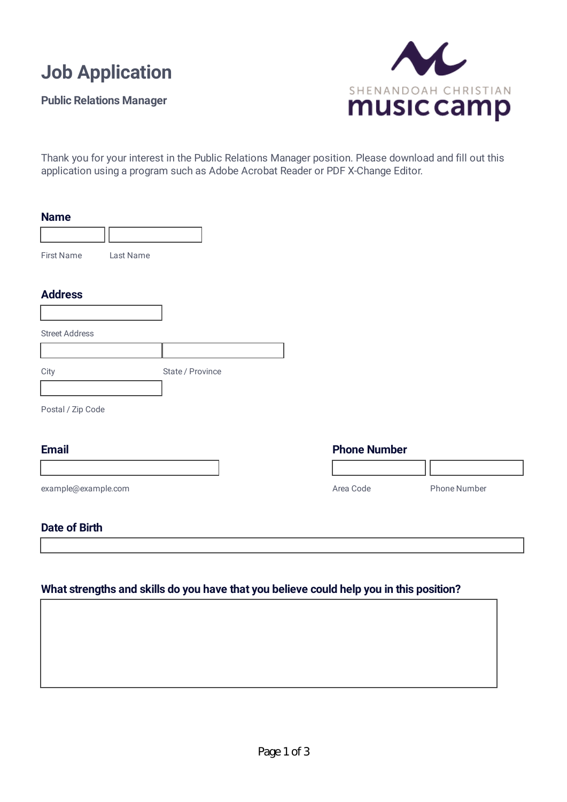

**Public Relations Manager**



Thank you for your interest in the Public Relations Manager position. Please download and fill out this application using a program such as Adobe Acrobat Reader or PDF X-Change Editor.

| <b>Name</b>                    |                  |                     |              |
|--------------------------------|------------------|---------------------|--------------|
|                                |                  |                     |              |
| <b>First Name</b><br>Last Name |                  |                     |              |
| <b>Address</b>                 |                  |                     |              |
|                                |                  |                     |              |
| <b>Street Address</b>          |                  |                     |              |
|                                |                  |                     |              |
| City                           | State / Province |                     |              |
|                                |                  |                     |              |
| Postal / Zip Code              |                  |                     |              |
| <b>Email</b>                   |                  | <b>Phone Number</b> |              |
|                                |                  |                     |              |
| example@example.com            |                  | Area Code           | Phone Number |
| <b>Date of Birth</b>           |                  |                     |              |
|                                |                  |                     |              |

# **What strengths and skills do you have that you believe could help you in this position?**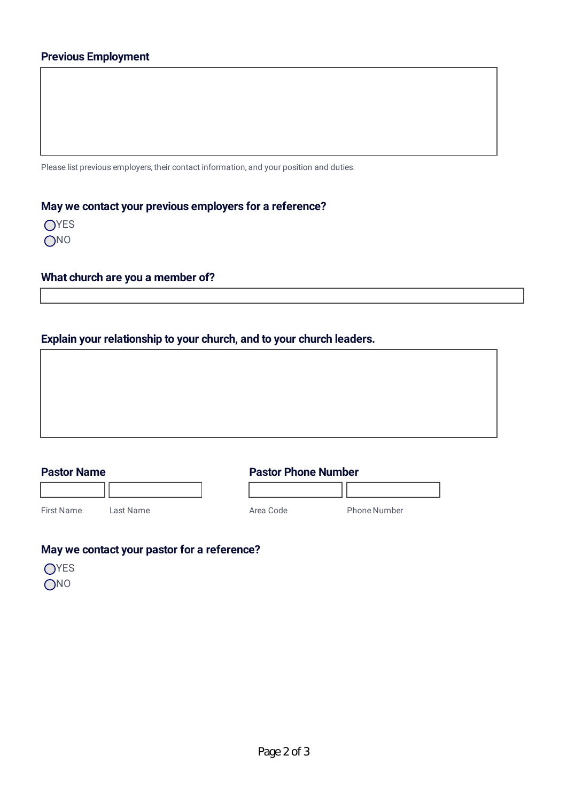Please list previous employers, their contact information, and your position and duties.

# **May we contact your previous employers for a reference?**

| Y.<br>Ξ |
|---------|
| ı       |

## **What church are you a member of?**

## **Explain your relationship to your church, and to your church leaders.**

| ,一个人的人都是一个人的人,而且,他们的人都是一个人的人,而且,他们的人都是一个人的人,而且,他们的人都是一个人的人,而且,他们的人都是一个人的人,而且,他们的<br>第一百一十一章 一个人的人,他们的人都是一个人的人,他们的人都是一个人的人,他们的人都是一个人的人,他们的人都是一个人的人,他们的人都是一个人的人,他们的人都是 |  |  |
|----------------------------------------------------------------------------------------------------------------------------------------------------------------------|--|--|
|                                                                                                                                                                      |  |  |
|                                                                                                                                                                      |  |  |

## **Pastor Name**

**Pastor Phone Number**

First Name Last Name

Area Code Phone Number

# **May we contact your pastor for a reference?**

- OYES
- **ONO**